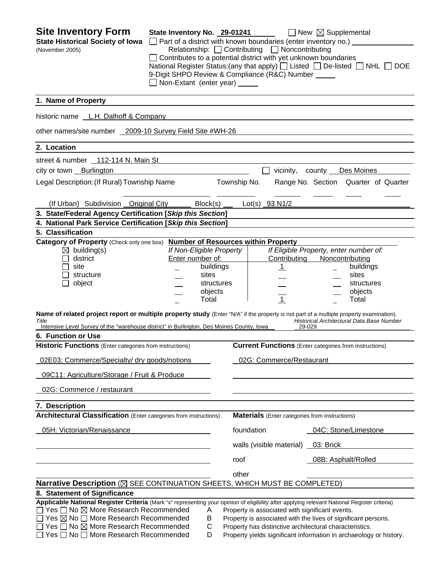| <b>Site Inventory Form</b><br><b>State Historical Society of Iowa</b><br>(November 2005)                                                                                                                                                                                                                                                                                                 | State Inventory No. 29-01241<br>$\Box$ Non-Extant (enter year) $\Box$                                | $\Box$ Part of a district with known boundaries (enter inventory no.) $\Box$<br>Relationship: Contributing D Noncontributing<br>$\Box$ Contributes to a potential district with yet unknown boundaries<br>9-Digit SHPO Review & Compliance (R&C) Number _____ | $\Box$ New $\boxtimes$ Supplemental<br>National Register Status: (any that apply) $\Box$ Listed $\Box$ De-listed $\Box$ NHL $\Box$ DOE |  |
|------------------------------------------------------------------------------------------------------------------------------------------------------------------------------------------------------------------------------------------------------------------------------------------------------------------------------------------------------------------------------------------|------------------------------------------------------------------------------------------------------|---------------------------------------------------------------------------------------------------------------------------------------------------------------------------------------------------------------------------------------------------------------|----------------------------------------------------------------------------------------------------------------------------------------|--|
| 1. Name of Property                                                                                                                                                                                                                                                                                                                                                                      |                                                                                                      |                                                                                                                                                                                                                                                               |                                                                                                                                        |  |
| historic name L.H. Dalhoff & Company                                                                                                                                                                                                                                                                                                                                                     |                                                                                                      |                                                                                                                                                                                                                                                               |                                                                                                                                        |  |
| other names/site number 2009-10 Survey Field Site #WH-26                                                                                                                                                                                                                                                                                                                                 |                                                                                                      |                                                                                                                                                                                                                                                               |                                                                                                                                        |  |
| 2. Location                                                                                                                                                                                                                                                                                                                                                                              |                                                                                                      |                                                                                                                                                                                                                                                               |                                                                                                                                        |  |
| street & number 112-114 N. Main St                                                                                                                                                                                                                                                                                                                                                       |                                                                                                      |                                                                                                                                                                                                                                                               |                                                                                                                                        |  |
| city or town Burlington                                                                                                                                                                                                                                                                                                                                                                  |                                                                                                      |                                                                                                                                                                                                                                                               | vicinity, county Des Moines                                                                                                            |  |
| Legal Description: (If Rural) Township Name                                                                                                                                                                                                                                                                                                                                              |                                                                                                      | Township No.                                                                                                                                                                                                                                                  | Range No. Section Quarter of Quarter                                                                                                   |  |
| (If Urban) Subdivision Original City                                                                                                                                                                                                                                                                                                                                                     | Block(s)                                                                                             | $Lot(s)$ 93 N1/2                                                                                                                                                                                                                                              |                                                                                                                                        |  |
| 3. State/Federal Agency Certification [Skip this Section]                                                                                                                                                                                                                                                                                                                                |                                                                                                      |                                                                                                                                                                                                                                                               |                                                                                                                                        |  |
| 4. National Park Service Certification [Skip this Section]                                                                                                                                                                                                                                                                                                                               |                                                                                                      |                                                                                                                                                                                                                                                               |                                                                                                                                        |  |
| 5. Classification<br>Category of Property (Check only one box) Number of Resources within Property                                                                                                                                                                                                                                                                                       |                                                                                                      |                                                                                                                                                                                                                                                               |                                                                                                                                        |  |
| $\boxtimes$ building(s)<br>district<br>site<br>structure<br>object                                                                                                                                                                                                                                                                                                                       | If Non-Eligible Property<br>Enter number of:<br>buildings<br>sites<br>structures<br>objects<br>Total | Contributing<br>$\mathbf{1}$<br>$\overline{1}$                                                                                                                                                                                                                | If Eligible Property, enter number of:<br>Noncontributing<br>buildings<br>sites<br>structures<br>objects<br>Total                      |  |
| Name of related project report or multiple property study (Enter "N/A" if the property is not part of a multiple property examination).<br>Historical Architectural Data Base Number<br>Title<br>Intensive Level Survey of the "warehouse district" in Burlington, Des Moines County, Iowa<br>29-029                                                                                     |                                                                                                      |                                                                                                                                                                                                                                                               |                                                                                                                                        |  |
| 6. Function or Use                                                                                                                                                                                                                                                                                                                                                                       |                                                                                                      |                                                                                                                                                                                                                                                               |                                                                                                                                        |  |
| <b>Historic Functions</b> (Enter categories from instructions)                                                                                                                                                                                                                                                                                                                           |                                                                                                      |                                                                                                                                                                                                                                                               | <b>Current Functions</b> (Enter categories from instructions)                                                                          |  |
| 02E03; Commerce/Specialty/ dry goods/notions                                                                                                                                                                                                                                                                                                                                             |                                                                                                      | 02G: Commerce/Restaurant                                                                                                                                                                                                                                      |                                                                                                                                        |  |
| 09C11: Agriculture/Storage / Fruit & Produce                                                                                                                                                                                                                                                                                                                                             |                                                                                                      |                                                                                                                                                                                                                                                               |                                                                                                                                        |  |
| 02G: Commerce / restaurant                                                                                                                                                                                                                                                                                                                                                               |                                                                                                      |                                                                                                                                                                                                                                                               |                                                                                                                                        |  |
| 7. Description                                                                                                                                                                                                                                                                                                                                                                           |                                                                                                      |                                                                                                                                                                                                                                                               |                                                                                                                                        |  |
| <b>Architectural Classification</b> (Enter categories from instructions)                                                                                                                                                                                                                                                                                                                 |                                                                                                      | <b>Materials</b> (Enter categories from instructions)                                                                                                                                                                                                         |                                                                                                                                        |  |
| 05H: Victorian/Renaissance                                                                                                                                                                                                                                                                                                                                                               |                                                                                                      | foundation                                                                                                                                                                                                                                                    | 04C: Stone/Limestone                                                                                                                   |  |
|                                                                                                                                                                                                                                                                                                                                                                                          |                                                                                                      | walls (visible material) _03: Brick                                                                                                                                                                                                                           |                                                                                                                                        |  |
|                                                                                                                                                                                                                                                                                                                                                                                          |                                                                                                      | roof                                                                                                                                                                                                                                                          | 08B: Asphalt/Rolled                                                                                                                    |  |
|                                                                                                                                                                                                                                                                                                                                                                                          |                                                                                                      | other                                                                                                                                                                                                                                                         |                                                                                                                                        |  |
| Narrative Description (X SEE CONTINUATION SHEETS, WHICH MUST BE COMPLETED)                                                                                                                                                                                                                                                                                                               |                                                                                                      |                                                                                                                                                                                                                                                               |                                                                                                                                        |  |
| 8. Statement of Significance                                                                                                                                                                                                                                                                                                                                                             |                                                                                                      |                                                                                                                                                                                                                                                               |                                                                                                                                        |  |
| Applicable National Register Criteria (Mark "x" representing your opinion of eligibility after applying relevant National Register criteria)<br>$\Box$ Yes $\Box$ No $\boxtimes$ More Research Recommended<br>$\Box$ Yes $\boxtimes$ No $\Box$ More Research Recommended<br>Yes $\Box$ No $\boxtimes$ More Research Recommended<br>$\Box$ Yes $\Box$ No $\Box$ More Research Recommended | Α<br>B<br>C<br>D                                                                                     | Property is associated with significant events.<br>Property is associated with the lives of significant persons.<br>Property has distinctive architectural characteristics.                                                                                   | Property yields significant information in archaeology or history.                                                                     |  |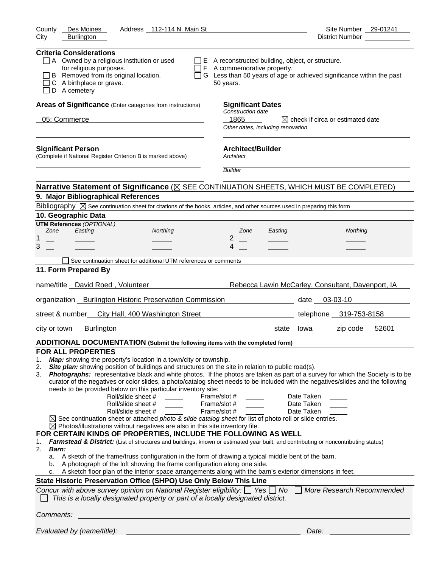| Des Moines<br>Address 112-114 N. Main St<br>County<br><b>Burlington</b><br>City                                                                                                                                                                                                                                                                                                                                                                                                                                                                                                                                                                                                                                                                                                                                                                                                                                                                                                                                                                                                                                                                                                                                                                 | Site Number 29-01241<br>District Number<br><u> </u>                                                                                                                                                                                                                                                                                                                                                                                                                                                                              |
|-------------------------------------------------------------------------------------------------------------------------------------------------------------------------------------------------------------------------------------------------------------------------------------------------------------------------------------------------------------------------------------------------------------------------------------------------------------------------------------------------------------------------------------------------------------------------------------------------------------------------------------------------------------------------------------------------------------------------------------------------------------------------------------------------------------------------------------------------------------------------------------------------------------------------------------------------------------------------------------------------------------------------------------------------------------------------------------------------------------------------------------------------------------------------------------------------------------------------------------------------|----------------------------------------------------------------------------------------------------------------------------------------------------------------------------------------------------------------------------------------------------------------------------------------------------------------------------------------------------------------------------------------------------------------------------------------------------------------------------------------------------------------------------------|
|                                                                                                                                                                                                                                                                                                                                                                                                                                                                                                                                                                                                                                                                                                                                                                                                                                                                                                                                                                                                                                                                                                                                                                                                                                                 |                                                                                                                                                                                                                                                                                                                                                                                                                                                                                                                                  |
| <b>Criteria Considerations</b><br>$\Box$ A Owned by a religious institution or used<br>for religious purposes.<br>B Removed from its original location.<br>C A birthplace or grave.<br>D A cemetery                                                                                                                                                                                                                                                                                                                                                                                                                                                                                                                                                                                                                                                                                                                                                                                                                                                                                                                                                                                                                                             | $\Box$ E A reconstructed building, object, or structure.<br>$\Box$ F A commemorative property.<br>□ G Less than 50 years of age or achieved significance within the past<br>50 years.                                                                                                                                                                                                                                                                                                                                            |
| Areas of Significance (Enter categories from instructions)                                                                                                                                                                                                                                                                                                                                                                                                                                                                                                                                                                                                                                                                                                                                                                                                                                                                                                                                                                                                                                                                                                                                                                                      | <b>Significant Dates</b>                                                                                                                                                                                                                                                                                                                                                                                                                                                                                                         |
| 05: Commerce                                                                                                                                                                                                                                                                                                                                                                                                                                                                                                                                                                                                                                                                                                                                                                                                                                                                                                                                                                                                                                                                                                                                                                                                                                    | Construction date<br>1865<br>$\boxtimes$ check if circa or estimated date<br>Other dates, including renovation                                                                                                                                                                                                                                                                                                                                                                                                                   |
| <b>Significant Person</b><br>(Complete if National Register Criterion B is marked above)                                                                                                                                                                                                                                                                                                                                                                                                                                                                                                                                                                                                                                                                                                                                                                                                                                                                                                                                                                                                                                                                                                                                                        | <b>Architect/Builder</b><br>Architect                                                                                                                                                                                                                                                                                                                                                                                                                                                                                            |
|                                                                                                                                                                                                                                                                                                                                                                                                                                                                                                                                                                                                                                                                                                                                                                                                                                                                                                                                                                                                                                                                                                                                                                                                                                                 | <b>Builder</b>                                                                                                                                                                                                                                                                                                                                                                                                                                                                                                                   |
|                                                                                                                                                                                                                                                                                                                                                                                                                                                                                                                                                                                                                                                                                                                                                                                                                                                                                                                                                                                                                                                                                                                                                                                                                                                 | Narrative Statement of Significance ( $\boxtimes$ SEE CONTINUATION SHEETS, WHICH MUST BE COMPLETED)                                                                                                                                                                                                                                                                                                                                                                                                                              |
| 9. Major Bibliographical References                                                                                                                                                                                                                                                                                                                                                                                                                                                                                                                                                                                                                                                                                                                                                                                                                                                                                                                                                                                                                                                                                                                                                                                                             |                                                                                                                                                                                                                                                                                                                                                                                                                                                                                                                                  |
| Bibliography $\boxtimes$ See continuation sheet for citations of the books, articles, and other sources used in preparing this form                                                                                                                                                                                                                                                                                                                                                                                                                                                                                                                                                                                                                                                                                                                                                                                                                                                                                                                                                                                                                                                                                                             |                                                                                                                                                                                                                                                                                                                                                                                                                                                                                                                                  |
| 10. Geographic Data<br><b>UTM References (OPTIONAL)</b>                                                                                                                                                                                                                                                                                                                                                                                                                                                                                                                                                                                                                                                                                                                                                                                                                                                                                                                                                                                                                                                                                                                                                                                         |                                                                                                                                                                                                                                                                                                                                                                                                                                                                                                                                  |
| Zone<br>Easting<br>Northing                                                                                                                                                                                                                                                                                                                                                                                                                                                                                                                                                                                                                                                                                                                                                                                                                                                                                                                                                                                                                                                                                                                                                                                                                     | Zone<br>Northing<br>Easting                                                                                                                                                                                                                                                                                                                                                                                                                                                                                                      |
| 1<br>3                                                                                                                                                                                                                                                                                                                                                                                                                                                                                                                                                                                                                                                                                                                                                                                                                                                                                                                                                                                                                                                                                                                                                                                                                                          | 2<br>4                                                                                                                                                                                                                                                                                                                                                                                                                                                                                                                           |
|                                                                                                                                                                                                                                                                                                                                                                                                                                                                                                                                                                                                                                                                                                                                                                                                                                                                                                                                                                                                                                                                                                                                                                                                                                                 |                                                                                                                                                                                                                                                                                                                                                                                                                                                                                                                                  |
| See continuation sheet for additional UTM references or comments<br>11. Form Prepared By                                                                                                                                                                                                                                                                                                                                                                                                                                                                                                                                                                                                                                                                                                                                                                                                                                                                                                                                                                                                                                                                                                                                                        |                                                                                                                                                                                                                                                                                                                                                                                                                                                                                                                                  |
|                                                                                                                                                                                                                                                                                                                                                                                                                                                                                                                                                                                                                                                                                                                                                                                                                                                                                                                                                                                                                                                                                                                                                                                                                                                 |                                                                                                                                                                                                                                                                                                                                                                                                                                                                                                                                  |
| name/title _David Roed, Volunteer                                                                                                                                                                                                                                                                                                                                                                                                                                                                                                                                                                                                                                                                                                                                                                                                                                                                                                                                                                                                                                                                                                                                                                                                               | Rebecca Lawin McCarley, Consultant, Davenport, IA                                                                                                                                                                                                                                                                                                                                                                                                                                                                                |
| organization Burlington Historic Preservation Commission della controllate date 03-03-10                                                                                                                                                                                                                                                                                                                                                                                                                                                                                                                                                                                                                                                                                                                                                                                                                                                                                                                                                                                                                                                                                                                                                        |                                                                                                                                                                                                                                                                                                                                                                                                                                                                                                                                  |
| street & number<br>City Hall, 400 Washington Street                                                                                                                                                                                                                                                                                                                                                                                                                                                                                                                                                                                                                                                                                                                                                                                                                                                                                                                                                                                                                                                                                                                                                                                             | telephone 319-753-8158                                                                                                                                                                                                                                                                                                                                                                                                                                                                                                           |
| <b>Burlington</b><br>city or town                                                                                                                                                                                                                                                                                                                                                                                                                                                                                                                                                                                                                                                                                                                                                                                                                                                                                                                                                                                                                                                                                                                                                                                                               | state Iowa zip code 52601                                                                                                                                                                                                                                                                                                                                                                                                                                                                                                        |
| ADDITIONAL DOCUMENTATION (Submit the following items with the completed form)                                                                                                                                                                                                                                                                                                                                                                                                                                                                                                                                                                                                                                                                                                                                                                                                                                                                                                                                                                                                                                                                                                                                                                   |                                                                                                                                                                                                                                                                                                                                                                                                                                                                                                                                  |
| <b>FOR ALL PROPERTIES</b><br>Map: showing the property's location in a town/city or township.<br>1.<br>Site plan: showing position of buildings and structures on the site in relation to public road(s).<br>2.<br>3.<br>needs to be provided below on this particular inventory site:<br>Roll/slide sheet #<br>Roll/slide sheet #<br>Roll/slide sheet #<br>$\boxtimes$ See continuation sheet or attached photo & slide catalog sheet for list of photo roll or slide entries.<br>$\boxtimes$ Photos/illustrations without negatives are also in this site inventory file.<br>FOR CERTAIN KINDS OF PROPERTIES, INCLUDE THE FOLLOWING AS WELL<br>1.<br>2.<br><b>Barn:</b><br>A sketch of the frame/truss configuration in the form of drawing a typical middle bent of the barn.<br>a.<br>A photograph of the loft showing the frame configuration along one side.<br>b.<br>A sketch floor plan of the interior space arrangements along with the barn's exterior dimensions in feet.<br>c.<br>State Historic Preservation Office (SHPO) Use Only Below This Line<br>Concur with above survey opinion on National Register eligibility: $\Box$ Yes $\Box$ No<br>This is a locally designated property or part of a locally designated district. | Photographs: representative black and white photos. If the photos are taken as part of a survey for which the Society is to be<br>curator of the negatives or color slides, a photo/catalog sheet needs to be included with the negatives/slides and the following<br>Frame/slot #<br>Date Taken<br>Frame/slot #<br>Date Taken<br>Frame/slot #<br>Date Taken<br>Farmstead & District: (List of structures and buildings, known or estimated year built, and contributing or noncontributing status)<br>More Research Recommended |
| Comments:                                                                                                                                                                                                                                                                                                                                                                                                                                                                                                                                                                                                                                                                                                                                                                                                                                                                                                                                                                                                                                                                                                                                                                                                                                       |                                                                                                                                                                                                                                                                                                                                                                                                                                                                                                                                  |
| Evaluated by (name/title):                                                                                                                                                                                                                                                                                                                                                                                                                                                                                                                                                                                                                                                                                                                                                                                                                                                                                                                                                                                                                                                                                                                                                                                                                      | Date:                                                                                                                                                                                                                                                                                                                                                                                                                                                                                                                            |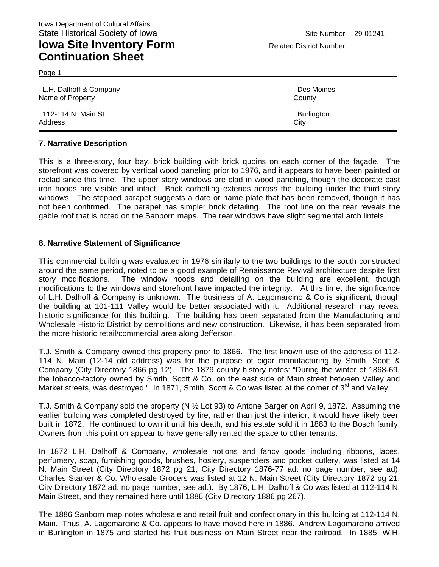## **Iowa Site Inventory Form** Related District Number **Related District Number Continuation Sheet**

Page 1

| L.H. Dalhoff & Company | Des Moines |
|------------------------|------------|
| Name of Property       | County     |
| 112-114 N. Main St     | Burlington |
| Address                | City       |

#### **7. Narrative Description**

This is a three-story, four bay, brick building with brick quoins on each corner of the façade. The storefront was covered by vertical wood paneling prior to 1976, and it appears to have been painted or reclad since this time. The upper story windows are clad in wood paneling, though the decorate cast iron hoods are visible and intact. Brick corbelling extends across the building under the third story windows. The stepped parapet suggests a date or name plate that has been removed, though it has not been confirmed. The parapet has simpler brick detailing. The roof line on the rear reveals the gable roof that is noted on the Sanborn maps. The rear windows have slight segmental arch lintels.

#### **8. Narrative Statement of Significance**

This commercial building was evaluated in 1976 similarly to the two buildings to the south constructed around the same period, noted to be a good example of Renaissance Revival architecture despite first story modifications. The window hoods and detailing on the building are excellent, though modifications to the windows and storefront have impacted the integrity. At this time, the significance of L.H. Dalhoff & Company is unknown. The business of A. Lagomarcino & Co is significant, though the building at 101-111 Valley would be better associated with it. Additional research may reveal historic significance for this building. The building has been separated from the Manufacturing and Wholesale Historic District by demolitions and new construction. Likewise, it has been separated from the more historic retail/commercial area along Jefferson.

T.J. Smith & Company owned this property prior to 1866. The first known use of the address of 112- 114 N. Main (12-14 old address) was for the purpose of cigar manufacturing by Smith, Scott & Company (City Directory 1866 pg 12). The 1879 county history notes: "During the winter of 1868-69, the tobacco-factory owned by Smith, Scott & Co. on the east side of Main street between Valley and Market streets, was destroyed." In 1871, Smith, Scott & Co was listed at the corner of 3<sup>rd</sup> and Valley.

T.J. Smith & Company sold the property (N ½ Lot 93) to Antone Barger on April 9, 1872. Assuming the earlier building was completed destroyed by fire, rather than just the interior, it would have likely been built in 1872. He continued to own it until his death, and his estate sold it in 1883 to the Bosch family. Owners from this point on appear to have generally rented the space to other tenants.

In 1872 L.H. Dalhoff & Company, wholesale notions and fancy goods including ribbons, laces, perfumery, soap, furnishing goods, brushes, hosiery, suspenders and pocket cutlery, was listed at 14 N. Main Street (City Directory 1872 pg 21, City Directory 1876-77 ad. no page number, see ad). Charles Starker & Co. Wholesale Grocers was listed at 12 N. Main Street (City Directory 1872 pg 21, City Directory 1872 ad. no page number, see ad.). By 1876, L.H. Dalhoff & Co was listed at 112-114 N. Main Street, and they remained here until 1886 (City Directory 1886 pg 267).

The 1886 Sanborn map notes wholesale and retail fruit and confectionary in this building at 112-114 N. Main. Thus, A. Lagomarcino & Co. appears to have moved here in 1886. Andrew Lagomarcino arrived in Burlington in 1875 and started his fruit business on Main Street near the railroad. In 1885, W.H.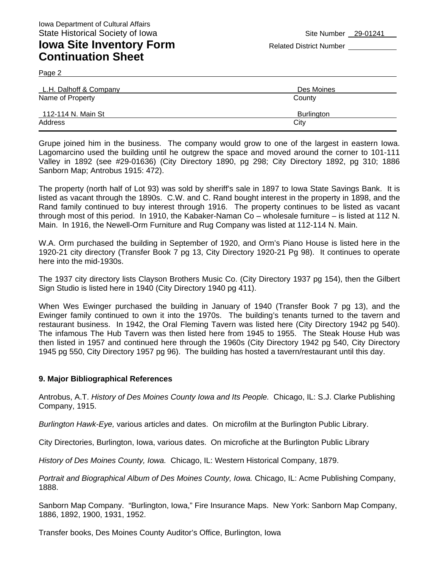## **Iowa Site Inventory Form** Related District Number **Related District Number Continuation Sheet**

Page 2

| L.H. Dalhoff & Company | Des Moines |  |
|------------------------|------------|--|
| Name of Property       | County     |  |
| 112-114 N. Main St     | Burlington |  |
| Address                | City       |  |

Grupe joined him in the business. The company would grow to one of the largest in eastern Iowa. Lagomarcino used the building until he outgrew the space and moved around the corner to 101-111 Valley in 1892 (see #29-01636) (City Directory 1890, pg 298; City Directory 1892, pg 310; 1886 Sanborn Map; Antrobus 1915: 472).

The property (north half of Lot 93) was sold by sheriff's sale in 1897 to Iowa State Savings Bank. It is listed as vacant through the 1890s. C.W. and C. Rand bought interest in the property in 1898, and the Rand family continued to buy interest through 1916. The property continues to be listed as vacant through most of this period. In 1910, the Kabaker-Naman Co – wholesale furniture – is listed at 112 N. Main. In 1916, the Newell-Orm Furniture and Rug Company was listed at 112-114 N. Main.

W.A. Orm purchased the building in September of 1920, and Orm's Piano House is listed here in the 1920-21 city directory (Transfer Book 7 pg 13, City Directory 1920-21 Pg 98). It continues to operate here into the mid-1930s.

The 1937 city directory lists Clayson Brothers Music Co. (City Directory 1937 pg 154), then the Gilbert Sign Studio is listed here in 1940 (City Directory 1940 pg 411).

When Wes Ewinger purchased the building in January of 1940 (Transfer Book 7 pg 13), and the Ewinger family continued to own it into the 1970s. The building's tenants turned to the tavern and restaurant business. In 1942, the Oral Fleming Tavern was listed here (City Directory 1942 pg 540). The infamous The Hub Tavern was then listed here from 1945 to 1955. The Steak House Hub was then listed in 1957 and continued here through the 1960s (City Directory 1942 pg 540, City Directory 1945 pg 550, City Directory 1957 pg 96). The building has hosted a tavern/restaurant until this day.

#### **9. Major Bibliographical References**

Antrobus, A.T. *History of Des Moines County Iowa and Its People.* Chicago, IL: S.J. Clarke Publishing Company, 1915.

*Burlington Hawk-Eye,* various articles and dates. On microfilm at the Burlington Public Library.

City Directories, Burlington, Iowa, various dates. On microfiche at the Burlington Public Library

*History of Des Moines County, Iowa.* Chicago, IL: Western Historical Company, 1879.

*Portrait and Biographical Album of Des Moines County, Iowa.* Chicago, IL: Acme Publishing Company, 1888.

Sanborn Map Company. "Burlington, Iowa," Fire Insurance Maps. New York: Sanborn Map Company, 1886, 1892, 1900, 1931, 1952.

Transfer books, Des Moines County Auditor's Office, Burlington, Iowa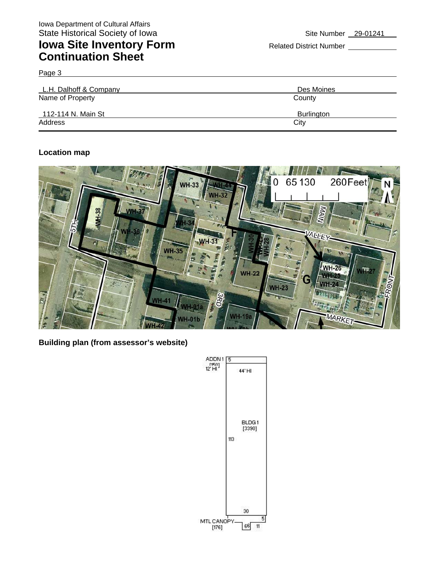# **Iowa Site Inventory Form** Related District Number **Continuation Sheet**

Page 3

| L.H. Dalhoff & Company | Des Moines |  |
|------------------------|------------|--|
| Name of Property       | County     |  |
| 112-114 N. Main St     | Burlington |  |
| Address                | City       |  |

### **Location map**



**Building plan (from assessor's website)** 

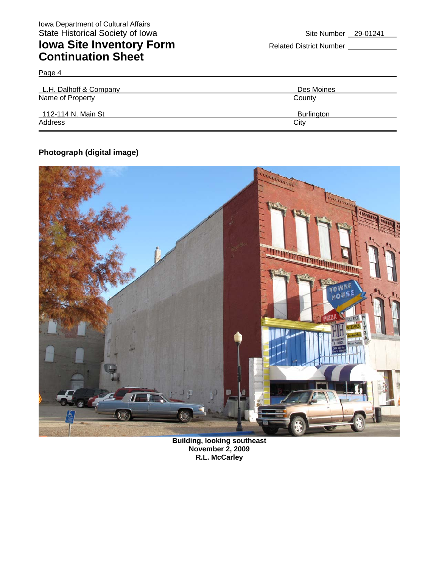## **Iowa Site Inventory Form** Related District Number **Continuation Sheet**

| L.H. Dalhoff & Company | Des Moines |  |
|------------------------|------------|--|
| Name of Property       | County     |  |
| 112-114 N. Main St     | Burlington |  |
| Address                | City       |  |

## **Photograph (digital image)**

Page 4



**Building, looking southeast November 2, 2009 R.L. McCarley**